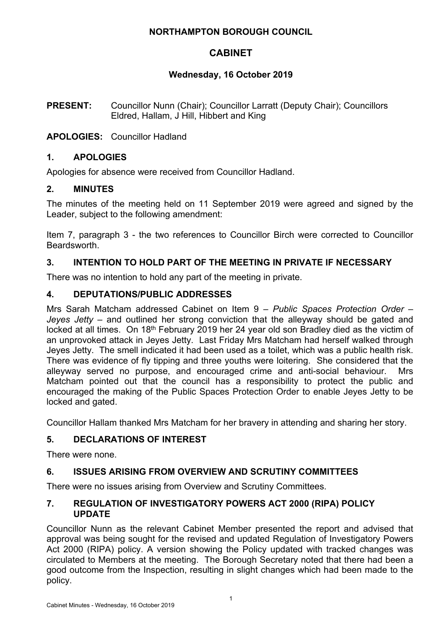## **NORTHAMPTON BOROUGH COUNCIL**

# **CABINET**

# **Wednesday, 16 October 2019**

**PRESENT:** Councillor Nunn (Chair); Councillor Larratt (Deputy Chair); Councillors Eldred, Hallam, J Hill, Hibbert and King

# **APOLOGIES:** Councillor Hadland

# **1. APOLOGIES**

Apologies for absence were received from Councillor Hadland.

# **2. MINUTES**

The minutes of the meeting held on 11 September 2019 were agreed and signed by the Leader, subject to the following amendment:

Item 7, paragraph 3 - the two references to Councillor Birch were corrected to Councillor Beardsworth.

# **3. INTENTION TO HOLD PART OF THE MEETING IN PRIVATE IF NECESSARY**

There was no intention to hold any part of the meeting in private.

# **4. DEPUTATIONS/PUBLIC ADDRESSES**

Mrs Sarah Matcham addressed Cabinet on Item 9 – *Public Spaces Protection Order – Jeyes Jetty* – and outlined her strong conviction that the alleyway should be gated and locked at all times. On 18<sup>th</sup> February 2019 her 24 year old son Bradley died as the victim of an unprovoked attack in Jeyes Jetty. Last Friday Mrs Matcham had herself walked through Jeyes Jetty. The smell indicated it had been used as a toilet, which was a public health risk. There was evidence of fly tipping and three youths were loitering. She considered that the alleyway served no purpose, and encouraged crime and anti-social behaviour. Mrs Matcham pointed out that the council has a responsibility to protect the public and encouraged the making of the Public Spaces Protection Order to enable Jeyes Jetty to be locked and gated.

Councillor Hallam thanked Mrs Matcham for her bravery in attending and sharing her story.

# **5. DECLARATIONS OF INTEREST**

There were none.

# **6. ISSUES ARISING FROM OVERVIEW AND SCRUTINY COMMITTEES**

There were no issues arising from Overview and Scrutiny Committees.

## **7. REGULATION OF INVESTIGATORY POWERS ACT 2000 (RIPA) POLICY UPDATE**

Councillor Nunn as the relevant Cabinet Member presented the report and advised that approval was being sought for the revised and updated Regulation of Investigatory Powers Act 2000 (RIPA) policy. A version showing the Policy updated with tracked changes was circulated to Members at the meeting. The Borough Secretary noted that there had been a good outcome from the Inspection, resulting in slight changes which had been made to the policy.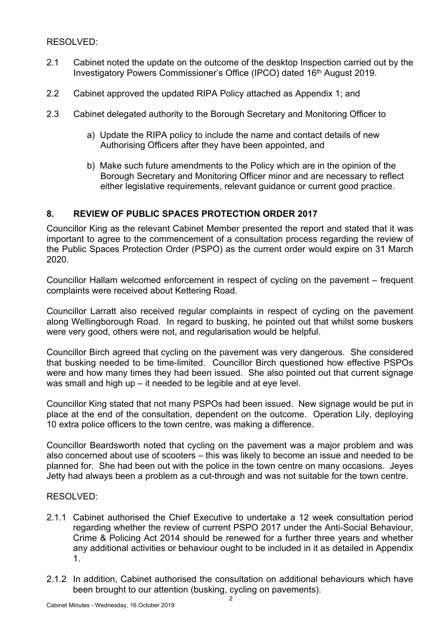RESOLVED:

- 2.1 Cabinet noted the update on the outcome of the desktop Inspection carried out by the Investigatory Powers Commissioner's Office (IPCO) dated 16<sup>th</sup> August 2019.
- 2.2 Cabinet approved the updated RIPA Policy attached as Appendix 1; and
- 2.3 Cabinet delegated authority to the Borough Secretary and Monitoring Officer to
	- a) Update the RIPA policy to include the name and contact details of new Authorising Officers after they have been appointed, and
	- b) Make such future amendments to the Policy which are in the opinion of the Borough Secretary and Monitoring Officer minor and are necessary to reflect either legislative requirements, relevant quidance or current good practice.

# **8. REVIEW OF PUBLIC SPACES PROTECTION ORDER 2017**

Councillor King as the relevant Cabinet Member presented the report and stated that it was important to agree to the commencement of a consultation process regarding the review of the Public Spaces Protection Order (PSPO) as the current order would expire on 31 March 2020.

Councillor Hallam welcomed enforcement in respect of cycling on the pavement – frequent complaints were received about Kettering Road.

Councillor Larratt also received regular complaints in respect of cycling on the pavement along Wellingborough Road. In regard to busking, he pointed out that whilst some buskers were very good, others were not, and regularisation would be helpful.

Councillor Birch agreed that cycling on the pavement was very dangerous. She considered that busking needed to be time-limited. Councillor Birch questioned how effective PSPOs were and how many times they had been issued. She also pointed out that current signage was small and high up – it needed to be legible and at eye level.

Councillor King stated that not many PSPOs had been issued. New signage would be put in place at the end of the consultation, dependent on the outcome. Operation Lily, deploying 10 extra police officers to the town centre, was making a difference.

Councillor Beardsworth noted that cycling on the pavement was a major problem and was also concerned about use of scooters – this was likely to become an issue and needed to be planned for. She had been out with the police in the town centre on many occasions. Jeyes Jetty had always been a problem as a cut-through and was not suitable for the town centre.

### RESOLVED:

- 2.1.1 Cabinet authorised the Chief Executive to undertake a 12 week consultation period regarding whether the review of current PSPO 2017 under the Anti-Social Behaviour, Crime & Policing Act 2014 should be renewed for a further three years and whether any additional activities or behaviour ought to be included in it as detailed in Appendix 1.
- 2.1.2 In addition, Cabinet authorised the consultation on additional behaviours which have been brought to our attention (busking, cycling on pavements).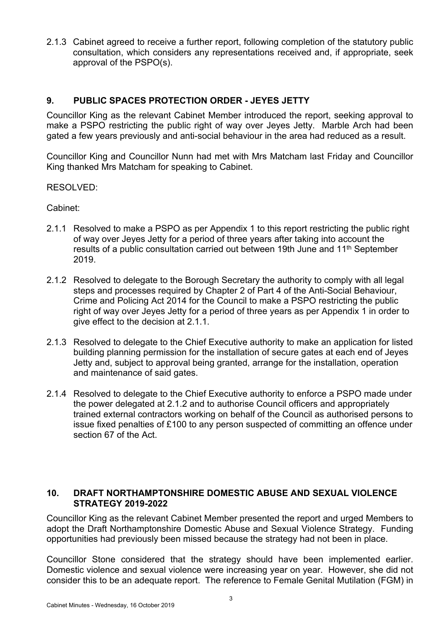2.1.3 Cabinet agreed to receive a further report, following completion of the statutory public consultation, which considers any representations received and, if appropriate, seek approval of the PSPO(s).

# **9. PUBLIC SPACES PROTECTION ORDER - JEYES JETTY**

Councillor King as the relevant Cabinet Member introduced the report, seeking approval to make a PSPO restricting the public right of way over Jeyes Jetty. Marble Arch had been gated a few years previously and anti-social behaviour in the area had reduced as a result.

Councillor King and Councillor Nunn had met with Mrs Matcham last Friday and Councillor King thanked Mrs Matcham for speaking to Cabinet.

RESOLVED:

Cabinet:

- 2.1.1 Resolved to make a PSPO as per Appendix 1 to this report restricting the public right of way over Jeyes Jetty for a period of three years after taking into account the results of a public consultation carried out between 19th June and 11th September 2019.
- 2.1.2 Resolved to delegate to the Borough Secretary the authority to comply with all legal steps and processes required by Chapter 2 of Part 4 of the Anti-Social Behaviour, Crime and Policing Act 2014 for the Council to make a PSPO restricting the public right of way over Jeyes Jetty for a period of three years as per Appendix 1 in order to give effect to the decision at 2.1.1.
- 2.1.3 Resolved to delegate to the Chief Executive authority to make an application for listed building planning permission for the installation of secure gates at each end of Jeyes Jetty and, subject to approval being granted, arrange for the installation, operation and maintenance of said gates.
- 2.1.4 Resolved to delegate to the Chief Executive authority to enforce a PSPO made under the power delegated at 2.1.2 and to authorise Council officers and appropriately trained external contractors working on behalf of the Council as authorised persons to issue fixed penalties of £100 to any person suspected of committing an offence under section 67 of the Act.

## **10. DRAFT NORTHAMPTONSHIRE DOMESTIC ABUSE AND SEXUAL VIOLENCE STRATEGY 2019-2022**

Councillor King as the relevant Cabinet Member presented the report and urged Members to adopt the Draft Northamptonshire Domestic Abuse and Sexual Violence Strategy. Funding opportunities had previously been missed because the strategy had not been in place.

Councillor Stone considered that the strategy should have been implemented earlier. Domestic violence and sexual violence were increasing year on year. However, she did not consider this to be an adequate report. The reference to Female Genital Mutilation (FGM) in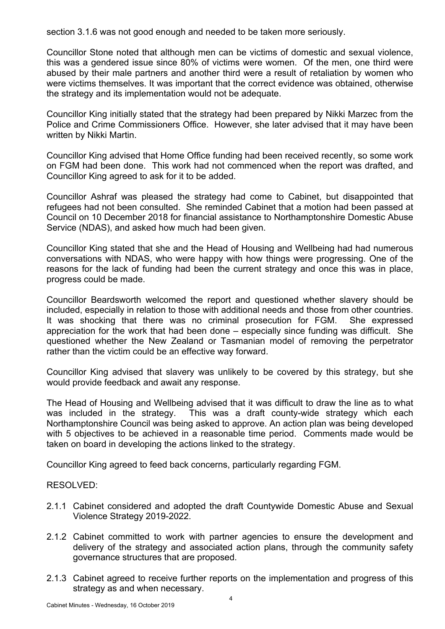section 3.1.6 was not good enough and needed to be taken more seriously.

Councillor Stone noted that although men can be victims of domestic and sexual violence, this was a gendered issue since 80% of victims were women. Of the men, one third were abused by their male partners and another third were a result of retaliation by women who were victims themselves. It was important that the correct evidence was obtained, otherwise the strategy and its implementation would not be adequate.

Councillor King initially stated that the strategy had been prepared by Nikki Marzec from the Police and Crime Commissioners Office. However, she later advised that it may have been written by Nikki Martin.

Councillor King advised that Home Office funding had been received recently, so some work on FGM had been done. This work had not commenced when the report was drafted, and Councillor King agreed to ask for it to be added.

Councillor Ashraf was pleased the strategy had come to Cabinet, but disappointed that refugees had not been consulted. She reminded Cabinet that a motion had been passed at Council on 10 December 2018 for financial assistance to Northamptonshire Domestic Abuse Service (NDAS), and asked how much had been given.

Councillor King stated that she and the Head of Housing and Wellbeing had had numerous conversations with NDAS, who were happy with how things were progressing. One of the reasons for the lack of funding had been the current strategy and once this was in place, progress could be made.

Councillor Beardsworth welcomed the report and questioned whether slavery should be included, especially in relation to those with additional needs and those from other countries. It was shocking that there was no criminal prosecution for FGM. She expressed appreciation for the work that had been done – especially since funding was difficult. She questioned whether the New Zealand or Tasmanian model of removing the perpetrator rather than the victim could be an effective way forward.

Councillor King advised that slavery was unlikely to be covered by this strategy, but she would provide feedback and await any response.

The Head of Housing and Wellbeing advised that it was difficult to draw the line as to what was included in the strategy. This was a draft county-wide strategy which each Northamptonshire Council was being asked to approve. An action plan was being developed with 5 objectives to be achieved in a reasonable time period. Comments made would be taken on board in developing the actions linked to the strategy.

Councillor King agreed to feed back concerns, particularly regarding FGM.

RESOLVED:

- 2.1.1 Cabinet considered and adopted the draft Countywide Domestic Abuse and Sexual Violence Strategy 2019-2022.
- 2.1.2 Cabinet committed to work with partner agencies to ensure the development and delivery of the strategy and associated action plans, through the community safety governance structures that are proposed.
- 2.1.3 Cabinet agreed to receive further reports on the implementation and progress of this strategy as and when necessary.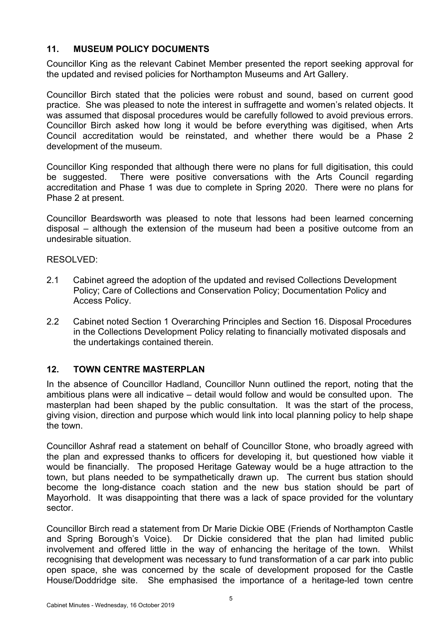# **11. MUSEUM POLICY DOCUMENTS**

Councillor King as the relevant Cabinet Member presented the report seeking approval for the updated and revised policies for Northampton Museums and Art Gallery.

Councillor Birch stated that the policies were robust and sound, based on current good practice. She was pleased to note the interest in suffragette and women's related objects. It was assumed that disposal procedures would be carefully followed to avoid previous errors. Councillor Birch asked how long it would be before everything was digitised, when Arts Council accreditation would be reinstated, and whether there would be a Phase 2 development of the museum.

Councillor King responded that although there were no plans for full digitisation, this could be suggested. There were positive conversations with the Arts Council regarding accreditation and Phase 1 was due to complete in Spring 2020. There were no plans for Phase 2 at present.

Councillor Beardsworth was pleased to note that lessons had been learned concerning disposal – although the extension of the museum had been a positive outcome from an undesirable situation.

### RESOLVED:

- 2.1 Cabinet agreed the adoption of the updated and revised Collections Development Policy; Care of Collections and Conservation Policy; Documentation Policy and Access Policy.
- 2.2 Cabinet noted Section 1 Overarching Principles and Section 16. Disposal Procedures in the Collections Development Policy relating to financially motivated disposals and the undertakings contained therein.

# **12. TOWN CENTRE MASTERPLAN**

In the absence of Councillor Hadland, Councillor Nunn outlined the report, noting that the ambitious plans were all indicative – detail would follow and would be consulted upon. The masterplan had been shaped by the public consultation. It was the start of the process, giving vision, direction and purpose which would link into local planning policy to help shape the town.

Councillor Ashraf read a statement on behalf of Councillor Stone, who broadly agreed with the plan and expressed thanks to officers for developing it, but questioned how viable it would be financially. The proposed Heritage Gateway would be a huge attraction to the town, but plans needed to be sympathetically drawn up. The current bus station should become the long-distance coach station and the new bus station should be part of Mayorhold. It was disappointing that there was a lack of space provided for the voluntary sector.

Councillor Birch read a statement from Dr Marie Dickie OBE (Friends of Northampton Castle and Spring Borough's Voice). Dr Dickie considered that the plan had limited public involvement and offered little in the way of enhancing the heritage of the town. Whilst recognising that development was necessary to fund transformation of a car park into public open space, she was concerned by the scale of development proposed for the Castle House/Doddridge site. She emphasised the importance of a heritage-led town centre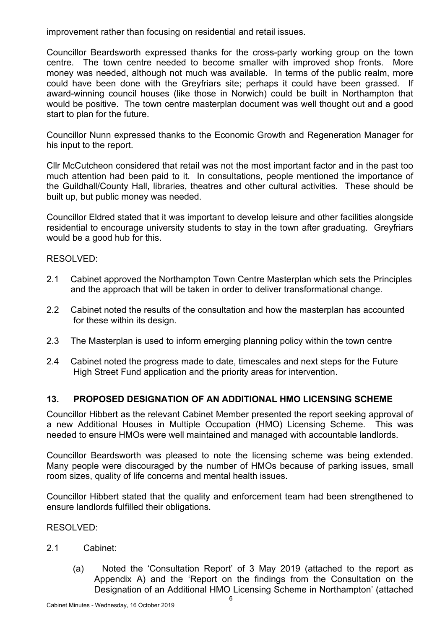improvement rather than focusing on residential and retail issues.

Councillor Beardsworth expressed thanks for the cross-party working group on the town centre. The town centre needed to become smaller with improved shop fronts. More money was needed, although not much was available. In terms of the public realm, more could have been done with the Greyfriars site; perhaps it could have been grassed. If award-winning council houses (like those in Norwich) could be built in Northampton that would be positive. The town centre masterplan document was well thought out and a good start to plan for the future.

Councillor Nunn expressed thanks to the Economic Growth and Regeneration Manager for his input to the report.

Cllr McCutcheon considered that retail was not the most important factor and in the past too much attention had been paid to it. In consultations, people mentioned the importance of the Guildhall/County Hall, libraries, theatres and other cultural activities. These should be built up, but public money was needed.

Councillor Eldred stated that it was important to develop leisure and other facilities alongside residential to encourage university students to stay in the town after graduating. Greyfriars would be a good hub for this.

### RESOLVED:

- 2.1 Cabinet approved the Northampton Town Centre Masterplan which sets the Principles and the approach that will be taken in order to deliver transformational change.
- 2.2 Cabinet noted the results of the consultation and how the masterplan has accounted for these within its design.
- 2.3 The Masterplan is used to inform emerging planning policy within the town centre
- 2.4 Cabinet noted the progress made to date, timescales and next steps for the Future High Street Fund application and the priority areas for intervention.

# **13. PROPOSED DESIGNATION OF AN ADDITIONAL HMO LICENSING SCHEME**

Councillor Hibbert as the relevant Cabinet Member presented the report seeking approval of a new Additional Houses in Multiple Occupation (HMO) Licensing Scheme. This was needed to ensure HMOs were well maintained and managed with accountable landlords.

Councillor Beardsworth was pleased to note the licensing scheme was being extended. Many people were discouraged by the number of HMOs because of parking issues, small room sizes, quality of life concerns and mental health issues.

Councillor Hibbert stated that the quality and enforcement team had been strengthened to ensure landlords fulfilled their obligations.

RESOLVED:

### 2.1 Cabinet:

(a) Noted the 'Consultation Report' of 3 May 2019 (attached to the report as Appendix A) and the 'Report on the findings from the Consultation on the Designation of an Additional HMO Licensing Scheme in Northampton' (attached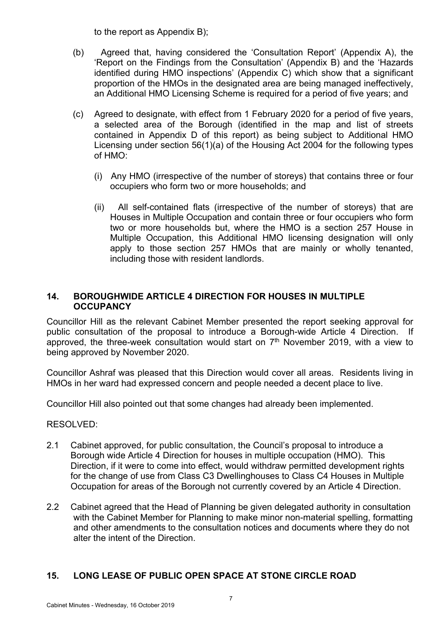to the report as Appendix B);

- (b) Agreed that, having considered the 'Consultation Report' (Appendix A), the 'Report on the Findings from the Consultation' (Appendix B) and the 'Hazards identified during HMO inspections' (Appendix C) which show that a significant proportion of the HMOs in the designated area are being managed ineffectively, an Additional HMO Licensing Scheme is required for a period of five years; and
- (c) Agreed to designate, with effect from 1 February 2020 for a period of five years, a selected area of the Borough (identified in the map and list of streets contained in Appendix D of this report) as being subject to Additional HMO Licensing under section 56(1)(a) of the Housing Act 2004 for the following types of HMO:
	- (i) Any HMO (irrespective of the number of storeys) that contains three or four occupiers who form two or more households; and
	- (ii) All self-contained flats (irrespective of the number of storeys) that are Houses in Multiple Occupation and contain three or four occupiers who form two or more households but, where the HMO is a section 257 House in Multiple Occupation, this Additional HMO licensing designation will only apply to those section 257 HMOs that are mainly or wholly tenanted, including those with resident landlords.

### **14. BOROUGHWIDE ARTICLE 4 DIRECTION FOR HOUSES IN MULTIPLE OCCUPANCY**

Councillor Hill as the relevant Cabinet Member presented the report seeking approval for public consultation of the proposal to introduce a Borough-wide Article 4 Direction. If approved, the three-week consultation would start on 7<sup>th</sup> November 2019, with a view to being approved by November 2020.

Councillor Ashraf was pleased that this Direction would cover all areas. Residents living in HMOs in her ward had expressed concern and people needed a decent place to live.

Councillor Hill also pointed out that some changes had already been implemented.

### RESOLVED:

- 2.1 Cabinet approved, for public consultation, the Council's proposal to introduce a Borough wide Article 4 Direction for houses in multiple occupation (HMO). This Direction, if it were to come into effect, would withdraw permitted development rights for the change of use from Class C3 Dwellinghouses to Class C4 Houses in Multiple Occupation for areas of the Borough not currently covered by an Article 4 Direction.
- 2.2 Cabinet agreed that the Head of Planning be given delegated authority in consultation with the Cabinet Member for Planning to make minor non-material spelling, formatting and other amendments to the consultation notices and documents where they do not alter the intent of the Direction.

# **15. LONG LEASE OF PUBLIC OPEN SPACE AT STONE CIRCLE ROAD**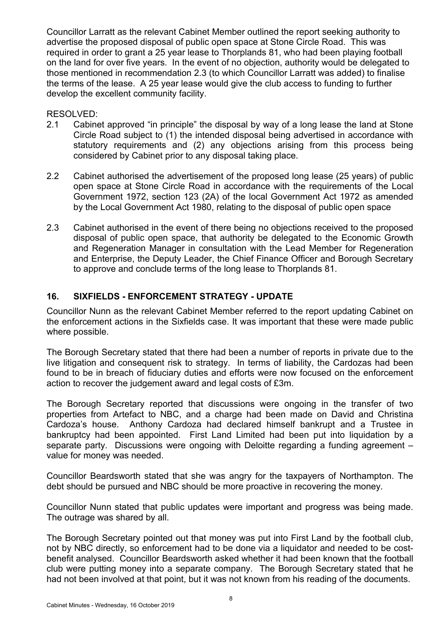Councillor Larratt as the relevant Cabinet Member outlined the report seeking authority to advertise the proposed disposal of public open space at Stone Circle Road. This was required in order to grant a 25 year lease to Thorplands 81, who had been playing football on the land for over five years. In the event of no objection, authority would be delegated to those mentioned in recommendation 2.3 (to which Councillor Larratt was added) to finalise the terms of the lease. A 25 year lease would give the club access to funding to further develop the excellent community facility.

### RESOLVED:

- 2.1 Cabinet approved "in principle" the disposal by way of a long lease the land at Stone Circle Road subject to (1) the intended disposal being advertised in accordance with statutory requirements and (2) any objections arising from this process being considered by Cabinet prior to any disposal taking place.
- 2.2 Cabinet authorised the advertisement of the proposed long lease (25 years) of public open space at Stone Circle Road in accordance with the requirements of the Local Government 1972, section 123 (2A) of the local Government Act 1972 as amended by the Local Government Act 1980, relating to the disposal of public open space
- 2.3 Cabinet authorised in the event of there being no objections received to the proposed disposal of public open space, that authority be delegated to the Economic Growth and Regeneration Manager in consultation with the Lead Member for Regeneration and Enterprise, the Deputy Leader, the Chief Finance Officer and Borough Secretary to approve and conclude terms of the long lease to Thorplands 81.

# **16. SIXFIELDS - ENFORCEMENT STRATEGY - UPDATE**

Councillor Nunn as the relevant Cabinet Member referred to the report updating Cabinet on the enforcement actions in the Sixfields case. It was important that these were made public where possible.

The Borough Secretary stated that there had been a number of reports in private due to the live litigation and consequent risk to strategy. In terms of liability, the Cardozas had been found to be in breach of fiduciary duties and efforts were now focused on the enforcement action to recover the judgement award and legal costs of £3m.

The Borough Secretary reported that discussions were ongoing in the transfer of two properties from Artefact to NBC, and a charge had been made on David and Christina Cardoza's house. Anthony Cardoza had declared himself bankrupt and a Trustee in bankruptcy had been appointed. First Land Limited had been put into liquidation by a separate party. Discussions were ongoing with Deloitte regarding a funding agreement – value for money was needed.

Councillor Beardsworth stated that she was angry for the taxpayers of Northampton. The debt should be pursued and NBC should be more proactive in recovering the money.

Councillor Nunn stated that public updates were important and progress was being made. The outrage was shared by all.

The Borough Secretary pointed out that money was put into First Land by the football club, not by NBC directly, so enforcement had to be done via a liquidator and needed to be costbenefit analysed. Councillor Beardsworth asked whether it had been known that the football club were putting money into a separate company. The Borough Secretary stated that he had not been involved at that point, but it was not known from his reading of the documents.